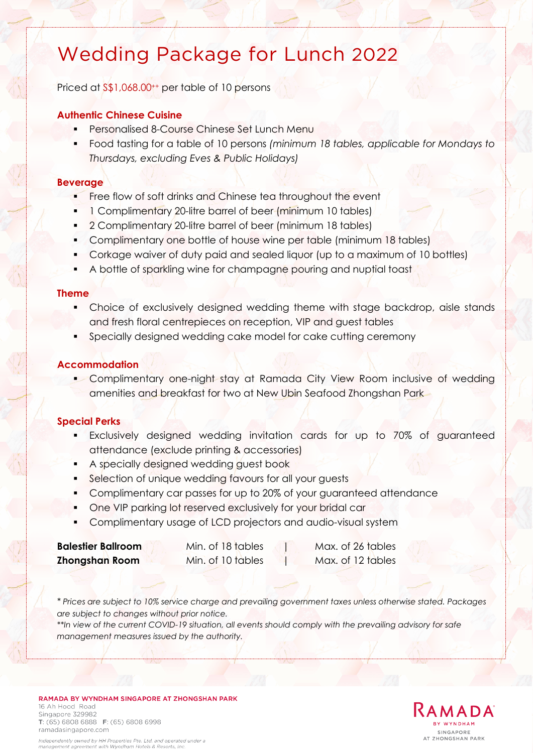# Wedding Package for Lunch 2022

Priced at  $\frac{1}{5}$ ,068.00<sup>++</sup> per table of 10 persons

### **Authentic Chinese Cuisine**

- Personalised 8-Course Chinese Set Lunch Menu
- Food tasting for a table of 10 persons *(minimum 18 tables, applicable for Mondays to Thursdays, excluding Eves & Public Holidays)*

### **Beverage**

- Free flow of soft drinks and Chinese tea throughout the event
- 1 Complimentary 20-litre barrel of beer (minimum 10 tables)
- 2 Complimentary 20-litre barrel of beer (minimum 18 tables)
- Complimentary one bottle of house wine per table (minimum 18 tables)
- Corkage waiver of duty paid and sealed liquor (up to a maximum of 10 bottles)
- A bottle of sparkling wine for champagne pouring and nuptial toast

### **Theme**

- Choice of exclusively designed wedding theme with stage backdrop, aisle stands and fresh floral centrepieces on reception, VIP and guest tables
- Specially designed wedding cake model for cake cutting ceremony

### **Accommodation**

**Complimentary one-night stay at Ramada City View Room inclusive of wedding** amenities and breakfast for two at New Ubin Seafood Zhongshan Park

### **Special Perks**

- Exclusively designed wedding invitation cards for up to 70% of guaranteed attendance (exclude printing & accessories)
- A specially designed wedding guest book
- **Selection of unique wedding favours for all your guests**
- Complimentary car passes for up to 20% of your guaranteed attendance
- One VIP parking lot reserved exclusively for your bridal car
- Complimentary usage of LCD projectors and audio-visual system

### **Balestier Ballroom** Min. of 18 tables 1 Max. of 26 tables **Zhongshan Room** Min. of 10 tables Max. of 12 tables

*\* Prices are subject to 10% service charge and prevailing government taxes unless otherwise stated. Packages are subject to changes without prior notice.* 

*\*\*In view of the current COVID-19 situation, all events should comply with the prevailing advisory for safe management measures issued by the authority.*

#### RAMADA BY WYNDHAM SINGAPORE AT ZHONGSHAN PARK 16 Ah Hood Road Singapore 329982 T: (65) 6808 6888 F: (65) 6808 6998 ramadasingapore.com

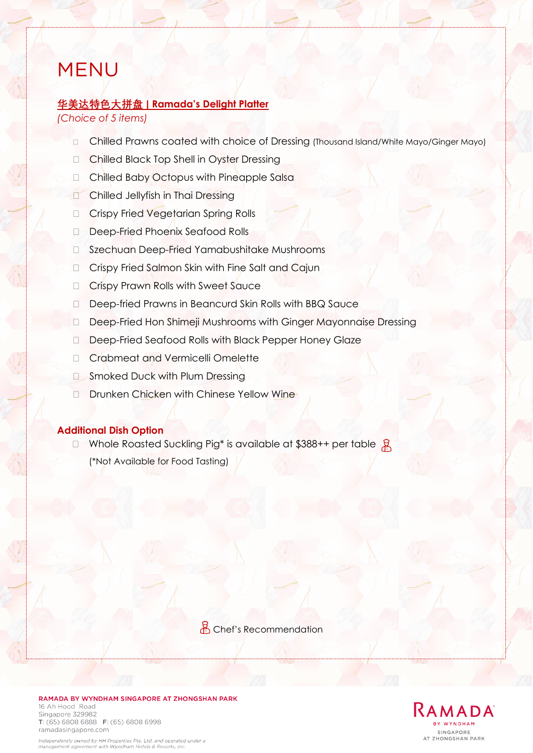## MENU

### **华美达特色大拼盘 | Ramada's Delight Platter**

*(Choice of 5 items)*

- Chilled Prawns coated with choice of Dressing (Thousand Island/White Mayo/Ginger Mayo)
- □ Chilled Black Top Shell in Oyster Dressing
- Chilled Baby Octopus with Pineapple Salsa
- **Chilled Jellyfish in Thai Dressing**
- □ Crispy Fried Vegetarian Spring Rolls
- Deep-Fried Phoenix Seafood Rolls
- □ Szechuan Deep-Fried Yamabushitake Mushrooms
- □ Crispy Fried Salmon Skin with Fine Salt and Cajun
- □ Crispy Prawn Rolls with Sweet Sauce
- D Deep-fried Prawns in Beancurd Skin Rolls with BBQ Sauce
- Deep-Fried Hon Shimeji Mushrooms with Ginger Mayonnaise Dressing
- D Deep-Fried Seafood Rolls with Black Pepper Honey Glaze
- □ Crabmeat and Vermicelli Omelette
- **Smoked Duck with Plum Dressing**
- D Drunken Chicken with Chinese Yellow Wine

### **Additional Dish Option**

 $\Box$  Whole Roasted Suckling Pig\* is available at \$388++ per table  $\beta$ (\*Not Available for Food Tasting)

Chef's Recommendation

RAMADA BY WYNDHAM SINGAPORE AT ZHONGSHAN PARK 16 Ah Hood Road Singapore 329982 T: (65) 6808 6888 F: (65) 6808 6998 ramadasingapore.com



Independently owned by HH Properties Pte. Ltd. and operated under a management agreement with Wyndham Hotels & Resorts, Inc.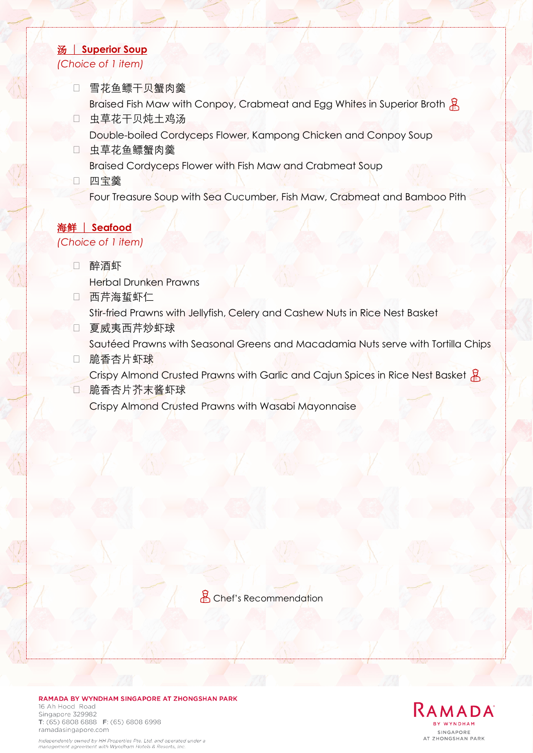### 汤 | **Superior Soup** *(Choice of 1 item)*

- □ 雪花鱼鳔干贝蟹肉羹 Braised Fish Maw with Conpoy, Crabmeat and Egg Whites in Superior Broth &
- 虫草花干贝炖土鸡汤 Double-boiled Cordyceps Flower, Kampong Chicken and Conpoy Soup
- 虫草花鱼鳔蟹肉羹 Braised Cordyceps Flower with Fish Maw and Crabmeat Soup
- 四宝羹
	- Four Treasure Soup with Sea Cucumber, Fish Maw, Crabmeat and Bamboo Pith

## 海鲜 | **Seafood**

### *(Choice of 1 item)*

- 醉酒虾 Herbal Drunken Prawns
- 西芹海蜇虾仁 Stir-fried Prawns with Jellyfish, Celery and Cashew Nuts in Rice Nest Basket
- 口 夏威夷西芹炒虾球

Sautéed Prawns with Seasonal Greens and Macadamia Nuts serve with Tortilla Chips

- 脆香杏片虾球
- Crispy Almond Crusted Prawns with Garlic and Cajun Spices in Rice Nest Basket &
- 脆香杏片芥末酱虾球 Crispy Almond Crusted Prawns with Wasabi Mayonnaise

Chef's Recommendation



RAMADA BY WYNDHAM SINGAPORE AT ZHONGSHAN PARK

#### RAMADA BY WYNDHAM SINGAPORE AT ZHONGSHAN PARK 16 Ah Hood Road Singapore 329982 T: (65) 6808 6888 F: (65) 6808 6998

ramadasingapore.com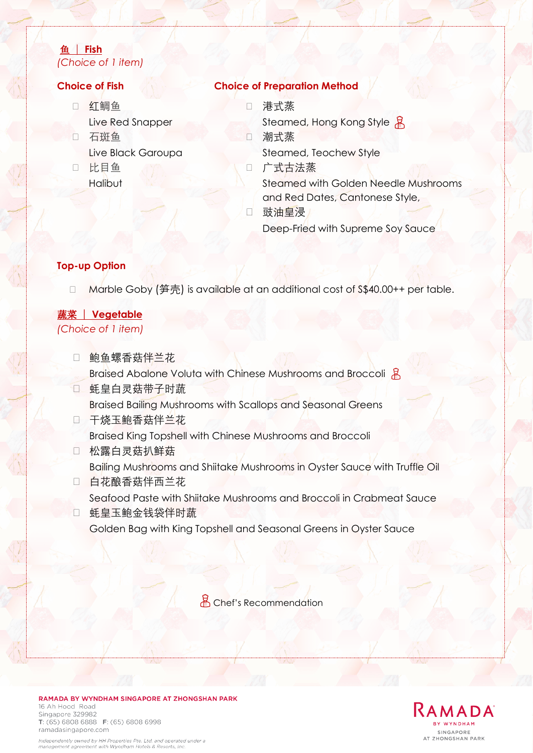### 鱼 | **Fish** *(Choice of 1 item)*

- □ 红鲷鱼 Live Red Snapper
- 口 石斑鱼 Live Black Garoupa
- 比目鱼
	- Halibut

### **Choice of Fish Choice of Preparation Method**

- 港式蒸
- Steamed, Hong Kong Style 용
- 潮式蒸 Steamed, Teochew Style
- 广式古法蒸 Steamed with Golden Needle Mushrooms and Red Dates, Cantonese Style, 口 豉油皇浸

Deep-Fried with Supreme Soy Sauce

### **Top-up Option**

□ Marble Goby (笋壳) is available at an additional cost of S\$40.00++ per table.

### 蔬菜 | **Vegetable**

*(Choice of 1 item)* 

- 口 鲍鱼螺香菇伴兰花 Braised Abalone Voluta with Chinese Mushrooms and Broccoli
- 蚝皇白灵菇带子时蔬 Braised Bailing Mushrooms with Scallops and Seasonal Greens
- □ 干烧玉鲍香菇伴兰花 Braised King Topshell with Chinese Mushrooms and Broccoli
- 松露白灵菇扒鲜菇 Bailing Mushrooms and Shiitake Mushrooms in Oyster Sauce with Truffle Oil
- □ 白花酿香菇伴西兰花 Seafood Paste with Shiitake Mushrooms and Broccoli in Crabmeat Sauce
- 蚝皇玉鲍金钱袋伴时蔬 Golden Bag with King Topshell and Seasonal Greens in Oyster Sauce

<u>A</u> Chef's Recommendation



#### RAMADA BY WYNDHAM SINGAPORE AT ZHONGSHAN PARK 16 Ah Hood Road Singapore 329982 T: (65) 6808 6888 F: (65) 6808 6998 ramadasingapore.com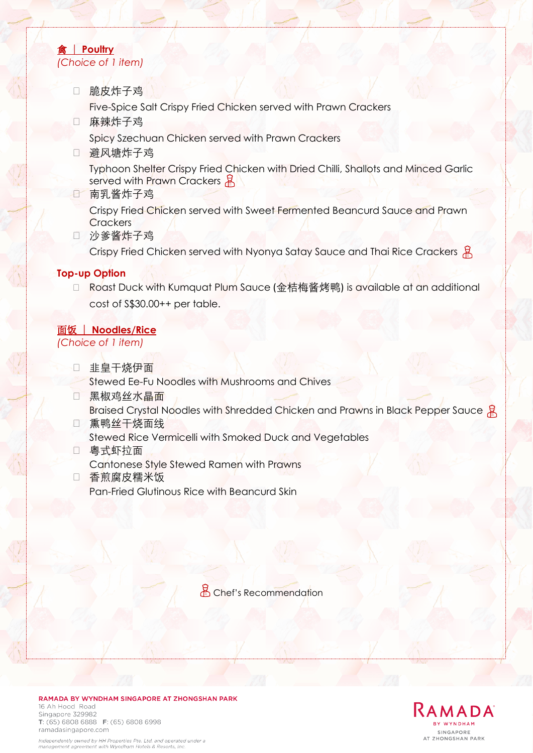### 禽 | **Poultry** *(Choice of 1 item)*

脆皮炸子鸡

Five-Spice Salt Crispy Fried Chicken served with Prawn Crackers

□ 麻辣炸子鸡

Spicy Szechuan Chicken served with Prawn Crackers

□ 避风塘炸子鸡

Typhoon Shelter Crispy Fried Chicken with Dried Chilli, Shallots and Minced Garlic served with Prawn Crackers

南乳酱炸子鸡

Crispy Fried Chicken served with Sweet Fermented Beancurd Sauce and Prawn **Crackers** 

□ 沙爹酱炸子鸡

Crispy Fried Chicken served with Nyonya Satay Sauce and Thai Rice Crackers 且

### **Top-up Option**

□ Roast Duck with Kumquat Plum Sauce (金桔梅酱烤鸭) is available at an additional cost of S\$30.00++ per table.

### 面饭 | **Noodles/Rice**

*(Choice of 1 item)*

- 口 非皇干烧伊面 Stewed Ee-Fu Noodles with Mushrooms and Chives
- 口 黑椒鸡丝水晶面 Braised Crystal Noodles with Shredded Chicken and Prawns in Black Pepper Sauce  $\frac{1}{2}$
- □ 熏鸭丝干烧面线
- Stewed Rice Vermicelli with Smoked Duck and Vegetables
- 粤式虾拉面 Cantonese Style Stewed Ramen with Prawns
- 香煎腐皮糯米饭 Pan-Fried Glutinous Rice with Beancurd Skin

Chef's Recommendation